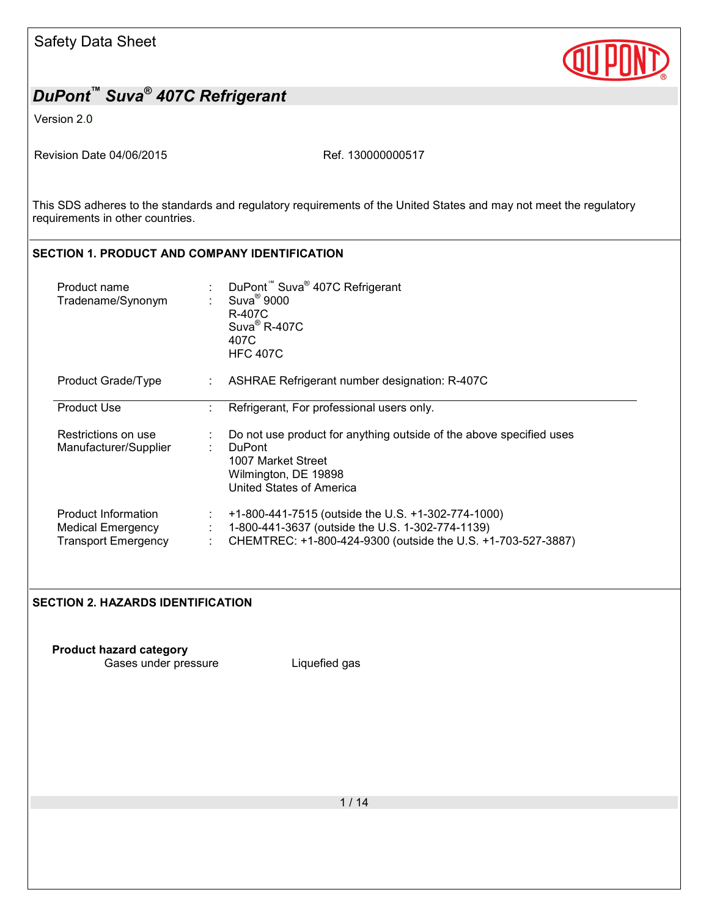

Version 2.0

Revision Date 04/06/2015 Ref. 130000000517

This SDS adheres to the standards and regulatory requirements of the United States and may not meet the regulatory requirements in other countries.

### **SECTION 1. PRODUCT AND COMPANY IDENTIFICATION**  Product name : : Suva® 407C Refrigerant Tradename/Synonym :  $Suva^{\circledR}$  9000 R-407C Suva® R-407C 407C HFC 407C Product Grade/Type : ASHRAE Refrigerant number designation: R-407C Product Use : Refrigerant, For professional users only. Restrictions on use : Do not use product for anything outside of the above specified uses<br>Manufacturer/Supplier : DuPont Manufacturer/Supplier : 1007 Market Street Wilmington, DE 19898 United States of America Product Information : +1-800-441-7515 (outside the U.S. +1-302-774-1000) Medical Emergency : 1-800-441-3637 (outside the U.S. 1-302-774-1139) Transport Emergency : CHEMTREC: +1-800-424-9300 (outside the U.S. +1-703-527-3887)

#### **SECTION 2. HAZARDS IDENTIFICATION**

**Product hazard category**

Gases under pressure **Liquefied gas**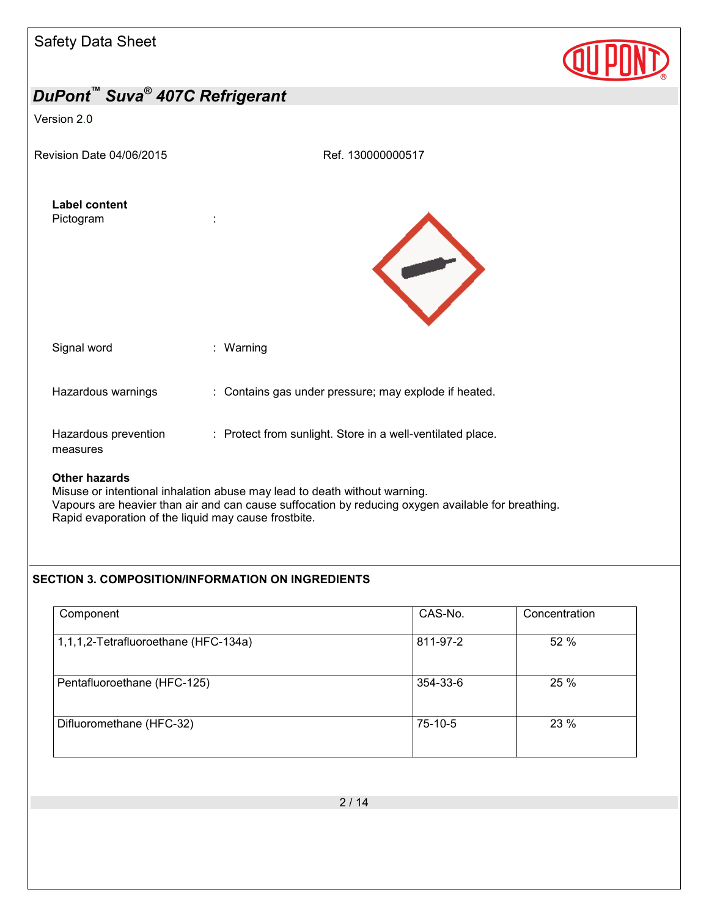| <b>Safety Data Sheet</b>                               |                                                                          |  |
|--------------------------------------------------------|--------------------------------------------------------------------------|--|
| DuPont <sup>™</sup> Suva <sup>®</sup> 407C Refrigerant |                                                                          |  |
| Version 2.0                                            |                                                                          |  |
| Revision Date 04/06/2015                               | Ref. 130000000517                                                        |  |
| <b>Label content</b><br>Pictogram                      | ÷                                                                        |  |
| Signal word                                            | : Warning                                                                |  |
| Hazardous warnings                                     | : Contains gas under pressure; may explode if heated.                    |  |
| Hazardous prevention<br>measures                       | : Protect from sunlight. Store in a well-ventilated place.               |  |
| <b>Other hazards</b>                                   | Micuco or intontional inhalation abuse may load to doath without warning |  |

Misuse or intentional inhalation abuse may lead to death without warning. Vapours are heavier than air and can cause suffocation by reducing oxygen available for breathing. Rapid evaporation of the liquid may cause frostbite.

#### **SECTION 3. COMPOSITION/INFORMATION ON INGREDIENTS**

| Component                            | CAS-No.  | Concentration |
|--------------------------------------|----------|---------------|
| 1,1,1,2-Tetrafluoroethane (HFC-134a) | 811-97-2 | 52 %          |
| Pentafluoroethane (HFC-125)          | 354-33-6 | 25 %          |
| Difluoromethane (HFC-32)             | 75-10-5  | 23 %          |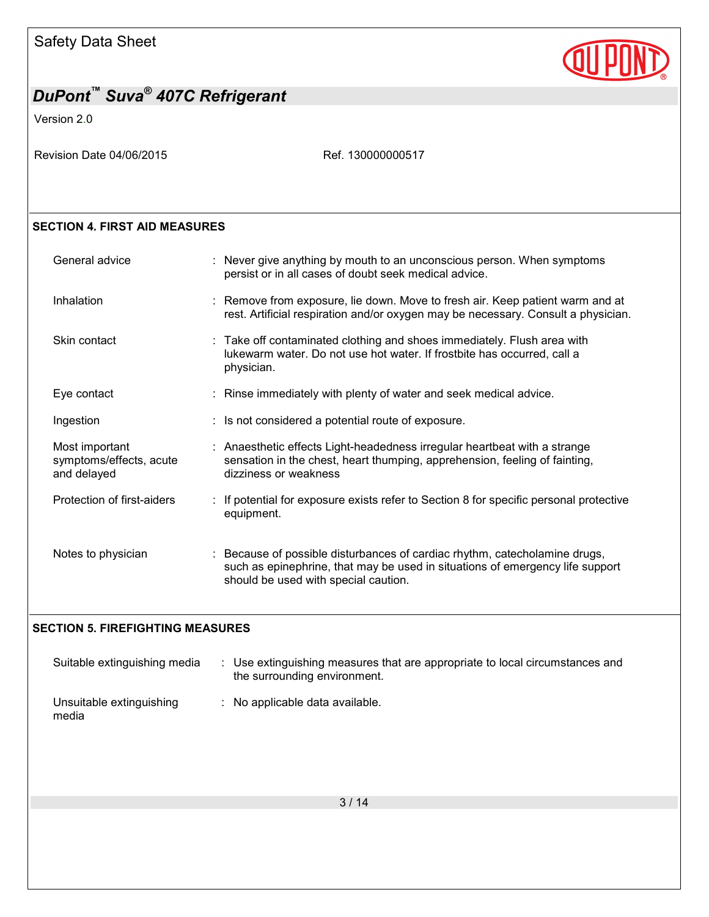

Version 2.0

| Revision Date 04/06/2015 |  |
|--------------------------|--|
|--------------------------|--|

Ref. 130000000517

#### **SECTION 4. FIRST AID MEASURES**

| General advice                                           | : Never give anything by mouth to an unconscious person. When symptoms<br>persist or in all cases of doubt seek medical advice.                                                                     |
|----------------------------------------------------------|-----------------------------------------------------------------------------------------------------------------------------------------------------------------------------------------------------|
| Inhalation                                               | : Remove from exposure, lie down. Move to fresh air. Keep patient warm and at<br>rest. Artificial respiration and/or oxygen may be necessary. Consult a physician.                                  |
| Skin contact                                             | : Take off contaminated clothing and shoes immediately. Flush area with<br>lukewarm water. Do not use hot water. If frostbite has occurred, call a<br>physician.                                    |
| Eye contact                                              | : Rinse immediately with plenty of water and seek medical advice.                                                                                                                                   |
| Ingestion                                                | : Is not considered a potential route of exposure.                                                                                                                                                  |
| Most important<br>symptoms/effects, acute<br>and delayed | : Anaesthetic effects Light-headedness irregular heartbeat with a strange<br>sensation in the chest, heart thumping, apprehension, feeling of fainting,<br>dizziness or weakness                    |
| Protection of first-aiders                               | : If potential for exposure exists refer to Section 8 for specific personal protective<br>equipment.                                                                                                |
| Notes to physician                                       | : Because of possible disturbances of cardiac rhythm, catecholamine drugs,<br>such as epinephrine, that may be used in situations of emergency life support<br>should be used with special caution. |

#### **SECTION 5. FIREFIGHTING MEASURES**

| Suitable extinguishing media      | : Use extinguishing measures that are appropriate to local circumstances and<br>the surrounding environment. |  |
|-----------------------------------|--------------------------------------------------------------------------------------------------------------|--|
| Unsuitable extinguishing<br>media | $\therefore$ No applicable data available.                                                                   |  |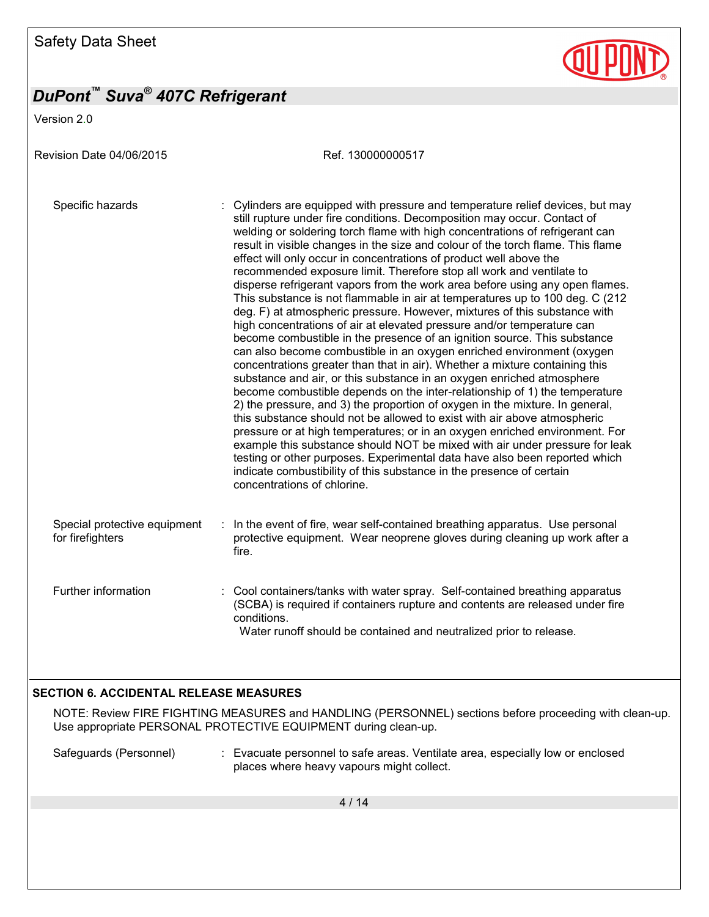Version 2.0

Revision Date 04/06/2015 Ref. 130000000517 Specific hazards : Cylinders are equipped with pressure and temperature relief devices, but may still rupture under fire conditions. Decomposition may occur. Contact of welding or soldering torch flame with high concentrations of refrigerant can result in visible changes in the size and colour of the torch flame. This flame effect will only occur in concentrations of product well above the recommended exposure limit. Therefore stop all work and ventilate to disperse refrigerant vapors from the work area before using any open flames. This substance is not flammable in air at temperatures up to 100 deg. C (212 deg. F) at atmospheric pressure. However, mixtures of this substance with high concentrations of air at elevated pressure and/or temperature can become combustible in the presence of an ignition source. This substance can also become combustible in an oxygen enriched environment (oxygen concentrations greater than that in air). Whether a mixture containing this substance and air, or this substance in an oxygen enriched atmosphere become combustible depends on the inter-relationship of 1) the temperature 2) the pressure, and 3) the proportion of oxygen in the mixture. In general, this substance should not be allowed to exist with air above atmospheric pressure or at high temperatures; or in an oxygen enriched environment. For example this substance should NOT be mixed with air under pressure for leak testing or other purposes. Experimental data have also been reported which indicate combustibility of this substance in the presence of certain concentrations of chlorine. Special protective equipment for firefighters : In the event of fire, wear self-contained breathing apparatus. Use personal protective equipment. Wear neoprene gloves during cleaning up work after a fire. Further information : Cool containers/tanks with water spray. Self-contained breathing apparatus (SCBA) is required if containers rupture and contents are released under fire conditions. Water runoff should be contained and neutralized prior to release. **SECTION 6. ACCIDENTAL RELEASE MEASURES** 

#### NOTE: Review FIRE FIGHTING MEASURES and HANDLING (PERSONNEL) sections before proceeding with clean-up. Use appropriate PERSONAL PROTECTIVE EQUIPMENT during clean-up.

Safeguards (Personnel) : Evacuate personnel to safe areas. Ventilate area, especially low or enclosed places where heavy vapours might collect.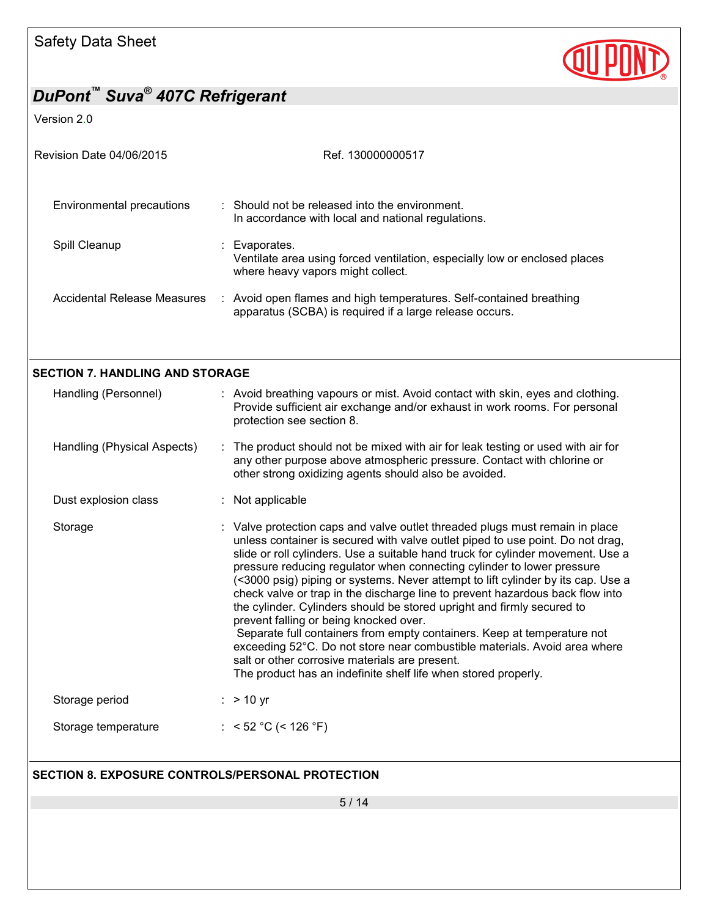

Version 2.0

| Revision Date 04/06/2015                         | Ref. 130000000517                                                                                                                                                                                                                                                                                                                                                                                                                                                                                                                                                                                                                                                                                                                                                                                                                                                                                |
|--------------------------------------------------|--------------------------------------------------------------------------------------------------------------------------------------------------------------------------------------------------------------------------------------------------------------------------------------------------------------------------------------------------------------------------------------------------------------------------------------------------------------------------------------------------------------------------------------------------------------------------------------------------------------------------------------------------------------------------------------------------------------------------------------------------------------------------------------------------------------------------------------------------------------------------------------------------|
| <b>Environmental precautions</b>                 | : Should not be released into the environment.<br>In accordance with local and national regulations.                                                                                                                                                                                                                                                                                                                                                                                                                                                                                                                                                                                                                                                                                                                                                                                             |
| Spill Cleanup                                    | Evaporates.<br>Ventilate area using forced ventilation, especially low or enclosed places<br>where heavy vapors might collect.                                                                                                                                                                                                                                                                                                                                                                                                                                                                                                                                                                                                                                                                                                                                                                   |
| Accidental Release Measures                      | : Avoid open flames and high temperatures. Self-contained breathing<br>apparatus (SCBA) is required if a large release occurs.                                                                                                                                                                                                                                                                                                                                                                                                                                                                                                                                                                                                                                                                                                                                                                   |
| <b>SECTION 7. HANDLING AND STORAGE</b>           |                                                                                                                                                                                                                                                                                                                                                                                                                                                                                                                                                                                                                                                                                                                                                                                                                                                                                                  |
| Handling (Personnel)                             | : Avoid breathing vapours or mist. Avoid contact with skin, eyes and clothing.<br>Provide sufficient air exchange and/or exhaust in work rooms. For personal<br>protection see section 8.                                                                                                                                                                                                                                                                                                                                                                                                                                                                                                                                                                                                                                                                                                        |
| Handling (Physical Aspects)                      | : The product should not be mixed with air for leak testing or used with air for<br>any other purpose above atmospheric pressure. Contact with chlorine or<br>other strong oxidizing agents should also be avoided.                                                                                                                                                                                                                                                                                                                                                                                                                                                                                                                                                                                                                                                                              |
| Dust explosion class                             | : Not applicable                                                                                                                                                                                                                                                                                                                                                                                                                                                                                                                                                                                                                                                                                                                                                                                                                                                                                 |
| Storage                                          | : Valve protection caps and valve outlet threaded plugs must remain in place<br>unless container is secured with valve outlet piped to use point. Do not drag,<br>slide or roll cylinders. Use a suitable hand truck for cylinder movement. Use a<br>pressure reducing regulator when connecting cylinder to lower pressure<br>(<3000 psig) piping or systems. Never attempt to lift cylinder by its cap. Use a<br>check valve or trap in the discharge line to prevent hazardous back flow into<br>the cylinder. Cylinders should be stored upright and firmly secured to<br>prevent falling or being knocked over.<br>Separate full containers from empty containers. Keep at temperature not<br>exceeding 52°C. Do not store near combustible materials. Avoid area where<br>salt or other corrosive materials are present.<br>The product has an indefinite shelf life when stored properly. |
| Storage period                                   | $:$ > 10 yr                                                                                                                                                                                                                                                                                                                                                                                                                                                                                                                                                                                                                                                                                                                                                                                                                                                                                      |
| Storage temperature                              | : < 52 °C (< 126 °F)                                                                                                                                                                                                                                                                                                                                                                                                                                                                                                                                                                                                                                                                                                                                                                                                                                                                             |
| SECTION 8. EXPOSURE CONTROLS/PERSONAL PROTECTION |                                                                                                                                                                                                                                                                                                                                                                                                                                                                                                                                                                                                                                                                                                                                                                                                                                                                                                  |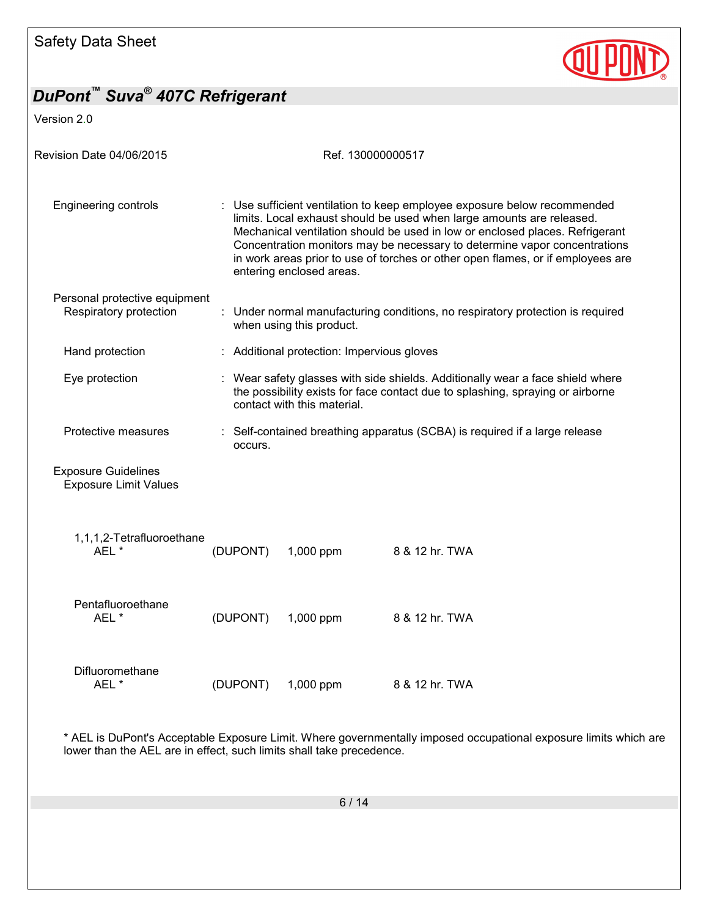

Version 2.0

| Revision Date 04/06/2015                                   |          | Ref. 130000000517                          |                                                                                                                                                                                                                                                                                                                                                                                                   |
|------------------------------------------------------------|----------|--------------------------------------------|---------------------------------------------------------------------------------------------------------------------------------------------------------------------------------------------------------------------------------------------------------------------------------------------------------------------------------------------------------------------------------------------------|
| <b>Engineering controls</b>                                |          | entering enclosed areas.                   | : Use sufficient ventilation to keep employee exposure below recommended<br>limits. Local exhaust should be used when large amounts are released.<br>Mechanical ventilation should be used in low or enclosed places. Refrigerant<br>Concentration monitors may be necessary to determine vapor concentrations<br>in work areas prior to use of torches or other open flames, or if employees are |
| Personal protective equipment<br>Respiratory protection    |          | when using this product.                   | : Under normal manufacturing conditions, no respiratory protection is required                                                                                                                                                                                                                                                                                                                    |
| Hand protection                                            |          | : Additional protection: Impervious gloves |                                                                                                                                                                                                                                                                                                                                                                                                   |
| Eye protection                                             |          | contact with this material.                | : Wear safety glasses with side shields. Additionally wear a face shield where<br>the possibility exists for face contact due to splashing, spraying or airborne                                                                                                                                                                                                                                  |
| Protective measures                                        | occurs.  |                                            | : Self-contained breathing apparatus (SCBA) is required if a large release                                                                                                                                                                                                                                                                                                                        |
| <b>Exposure Guidelines</b><br><b>Exposure Limit Values</b> |          |                                            |                                                                                                                                                                                                                                                                                                                                                                                                   |
| 1,1,1,2-Tetrafluoroethane<br>AEL *                         | (DUPONT) | 1,000 ppm                                  | 8 & 12 hr. TWA                                                                                                                                                                                                                                                                                                                                                                                    |
| Pentafluoroethane<br>AEL*                                  | (DUPONT) | 1,000 ppm                                  | 8 & 12 hr. TWA                                                                                                                                                                                                                                                                                                                                                                                    |
| Difluoromethane<br>AEL*                                    | (DUPONT) | 1,000 ppm                                  | 8 & 12 hr. TWA                                                                                                                                                                                                                                                                                                                                                                                    |
|                                                            |          |                                            |                                                                                                                                                                                                                                                                                                                                                                                                   |

\* AEL is DuPont's Acceptable Exposure Limit. Where governmentally imposed occupational exposure limits which are lower than the AEL are in effect, such limits shall take precedence.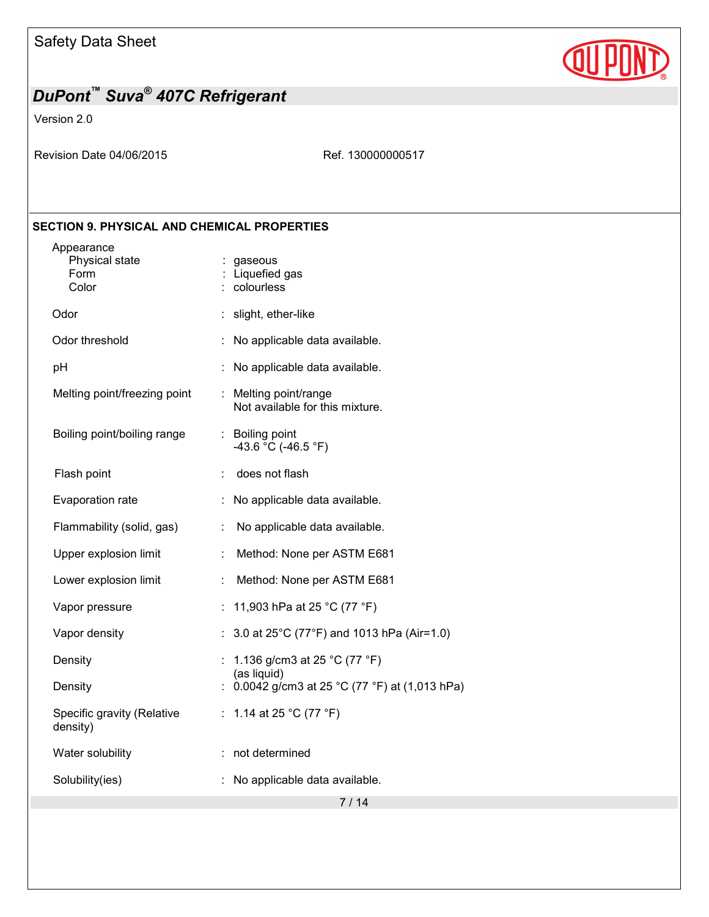

Version 2.0

Revision Date 04/06/2015 Ref. 130000000517

### **SECTION 9. PHYSICAL AND CHEMICAL PROPERTIES**

| Appearance<br>Physical state<br>Form<br>Color |                             | : gaseous<br>Liquefied gas<br>colourless                 |
|-----------------------------------------------|-----------------------------|----------------------------------------------------------|
| Odor                                          | t.                          | slight, ether-like                                       |
| Odor threshold                                |                             | No applicable data available.                            |
| pH                                            |                             | No applicable data available.                            |
| Melting point/freezing point                  |                             | : Melting point/range<br>Not available for this mixture. |
| Boiling point/boiling range                   |                             | : Boiling point<br>-43.6 °C (-46.5 °F)                   |
| Flash point                                   | ÷                           | does not flash                                           |
| Evaporation rate                              |                             | No applicable data available.                            |
| Flammability (solid, gas)                     | t.                          | No applicable data available.                            |
| Upper explosion limit                         | ÷                           | Method: None per ASTM E681                               |
| Lower explosion limit                         | t.                          | Method: None per ASTM E681                               |
| Vapor pressure                                | ÷.                          | 11,903 hPa at 25 °C (77 °F)                              |
| Vapor density                                 |                             | 3.0 at 25°C (77°F) and 1013 hPa (Air=1.0)                |
| Density                                       |                             | 1.136 g/cm3 at 25 °C (77 °F)<br>(as liquid)              |
| Density                                       |                             | 0.0042 g/cm3 at 25 °C (77 °F) at (1,013 hPa)             |
| Specific gravity (Relative<br>density)        | $\mathcal{L}^{\mathcal{L}}$ | 1.14 at 25 °C (77 °F)                                    |
| Water solubility                              |                             | not determined                                           |
| Solubility(ies)                               |                             | No applicable data available.                            |
|                                               |                             |                                                          |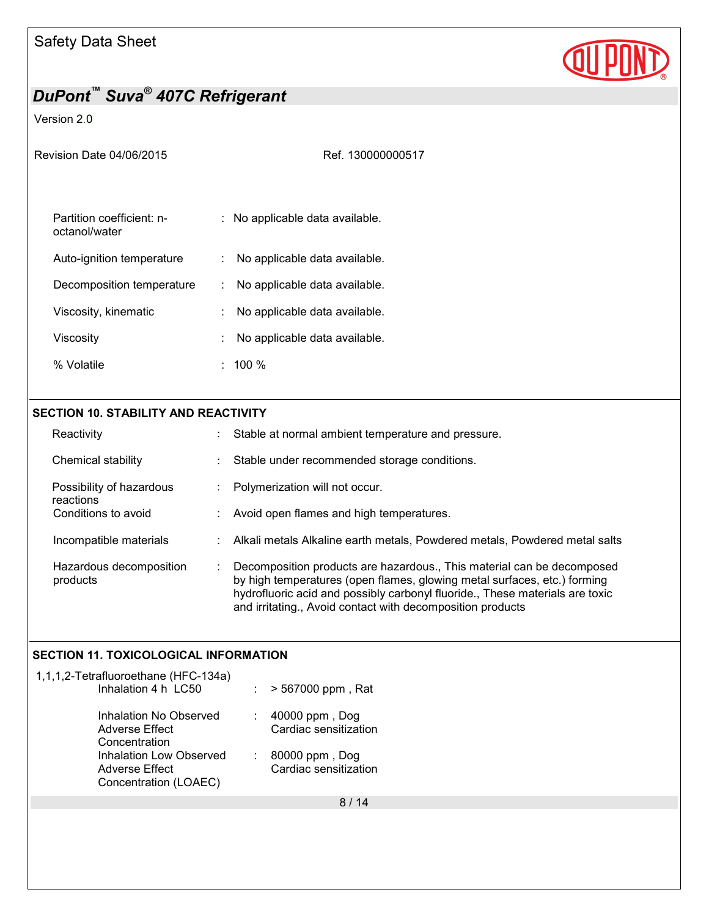

### Version 2.0

| Revision Date 04/06/2015                   | Ref. 130000000517                  |
|--------------------------------------------|------------------------------------|
| Partition coefficient: n-<br>octanol/water | : No applicable data available.    |
| Auto-ignition temperature                  | No applicable data available.      |
| Decomposition temperature                  | No applicable data available.<br>÷ |
| Viscosity, kinematic                       | No applicable data available.      |
| Viscositv                                  | No applicable data available.      |
| % Volatile                                 | 100 %                              |
|                                            |                                    |

#### **SECTION 10. STABILITY AND REACTIVITY**

| Reactivity                            | ÷ | Stable at normal ambient temperature and pressure.                                                                                                                                                                                                                                               |
|---------------------------------------|---|--------------------------------------------------------------------------------------------------------------------------------------------------------------------------------------------------------------------------------------------------------------------------------------------------|
| Chemical stability                    |   | Stable under recommended storage conditions.                                                                                                                                                                                                                                                     |
| Possibility of hazardous<br>reactions |   | Polymerization will not occur.                                                                                                                                                                                                                                                                   |
| Conditions to avoid                   |   | Avoid open flames and high temperatures.                                                                                                                                                                                                                                                         |
| Incompatible materials                |   | : Alkali metals Alkaline earth metals, Powdered metals, Powdered metal salts                                                                                                                                                                                                                     |
| Hazardous decomposition<br>products   |   | Decomposition products are hazardous., This material can be decomposed<br>by high temperatures (open flames, glowing metal surfaces, etc.) forming<br>hydrofluoric acid and possibly carbonyl fluoride., These materials are toxic<br>and irritating., Avoid contact with decomposition products |

### **SECTION 11. TOXICOLOGICAL INFORMATION**

| 1,1,1,2-Tetrafluoroethane (HFC-134a)<br>Inhalation 4 h LC50        | > 567000 ppm, Rat<br>÷                       |  |
|--------------------------------------------------------------------|----------------------------------------------|--|
| Inhalation No Observed<br>Adverse Effect<br>Concentration          | 40000 ppm, Dog<br>÷<br>Cardiac sensitization |  |
| Inhalation Low Observed<br>Adverse Effect<br>Concentration (LOAEC) | 80000 ppm, Dog<br>÷<br>Cardiac sensitization |  |
|                                                                    | 8/14                                         |  |
|                                                                    |                                              |  |
|                                                                    |                                              |  |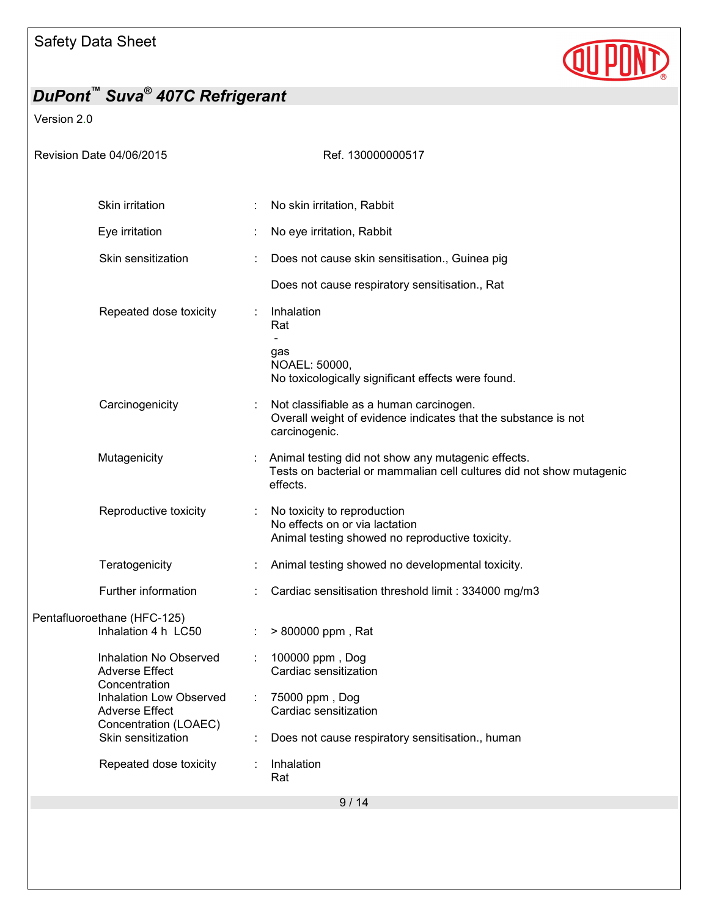

Version 2.0

| <b>Revision Date 04/06/2015</b>                                          | Ref. 130000000517                                                                                                                      |
|--------------------------------------------------------------------------|----------------------------------------------------------------------------------------------------------------------------------------|
| Skin irritation                                                          | No skin irritation, Rabbit                                                                                                             |
| Eye irritation                                                           | No eye irritation, Rabbit                                                                                                              |
|                                                                          |                                                                                                                                        |
| Skin sensitization                                                       | Does not cause skin sensitisation., Guinea pig                                                                                         |
|                                                                          | Does not cause respiratory sensitisation., Rat                                                                                         |
| Repeated dose toxicity                                                   | Inhalation<br>Rat                                                                                                                      |
|                                                                          | gas<br>NOAEL: 50000,<br>No toxicologically significant effects were found.                                                             |
| Carcinogenicity                                                          | Not classifiable as a human carcinogen.<br>Overall weight of evidence indicates that the substance is not<br>carcinogenic.             |
| Mutagenicity                                                             | Animal testing did not show any mutagenic effects.<br>Tests on bacterial or mammalian cell cultures did not show mutagenic<br>effects. |
| Reproductive toxicity                                                    | No toxicity to reproduction<br>No effects on or via lactation<br>Animal testing showed no reproductive toxicity.                       |
| Teratogenicity                                                           | Animal testing showed no developmental toxicity.                                                                                       |
| Further information                                                      | Cardiac sensitisation threshold limit: 334000 mg/m3                                                                                    |
| Pentafluoroethane (HFC-125)<br>Inhalation 4 h LC50                       | > 800000 ppm, Rat                                                                                                                      |
| Inhalation No Observed<br><b>Adverse Effect</b>                          | 100000 ppm, Dog<br>Cardiac sensitization                                                                                               |
| Concentration<br><b>Inhalation Low Observed</b><br><b>Adverse Effect</b> | 75000 ppm, Dog<br>Cardiac sensitization                                                                                                |
| Concentration (LOAEC)<br>Skin sensitization                              | Does not cause respiratory sensitisation., human                                                                                       |
| Repeated dose toxicity                                                   | Inhalation<br>Rat                                                                                                                      |
|                                                                          | 9/14                                                                                                                                   |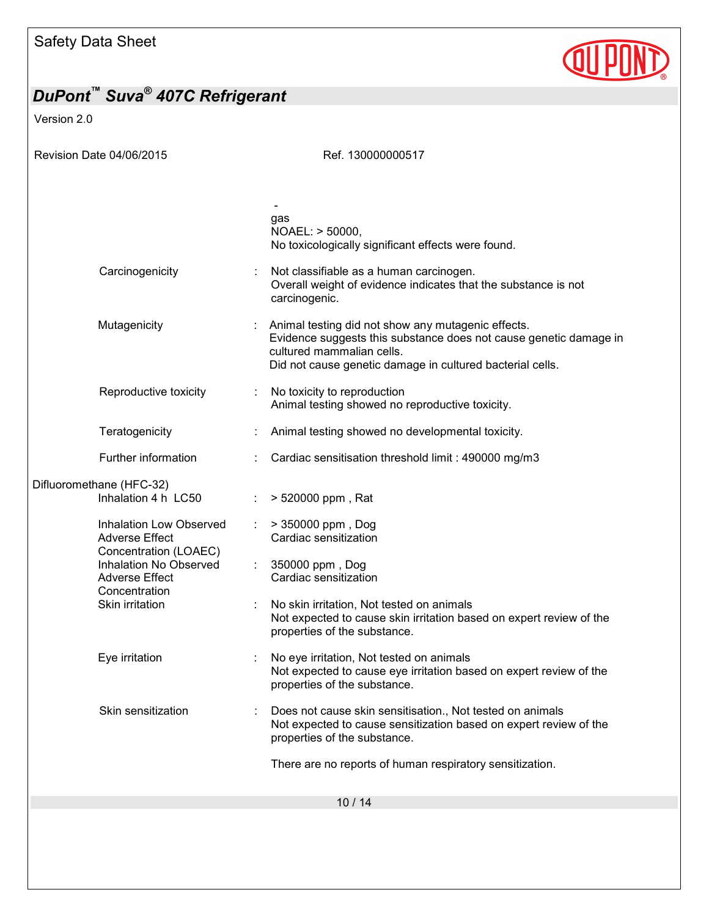

Version 2.0

| gas<br>NOAEL: > 50000,<br>No toxicologically significant effects were found.                                                                                                                                                      |  |
|-----------------------------------------------------------------------------------------------------------------------------------------------------------------------------------------------------------------------------------|--|
| Carcinogenicity<br>Not classifiable as a human carcinogen.<br>Overall weight of evidence indicates that the substance is not<br>carcinogenic.                                                                                     |  |
| Mutagenicity<br>Animal testing did not show any mutagenic effects.<br>Evidence suggests this substance does not cause genetic damage in<br>cultured mammalian cells.<br>Did not cause genetic damage in cultured bacterial cells. |  |
| Reproductive toxicity<br>No toxicity to reproduction<br>Animal testing showed no reproductive toxicity.                                                                                                                           |  |
| Teratogenicity<br>Animal testing showed no developmental toxicity.                                                                                                                                                                |  |
| Further information<br>Cardiac sensitisation threshold limit : 490000 mg/m3                                                                                                                                                       |  |
| Difluoromethane (HFC-32)<br>Inhalation 4 h LC50<br>> 520000 ppm, Rat                                                                                                                                                              |  |
| > 350000 ppm, Dog<br>Inhalation Low Observed<br>Cardiac sensitization<br><b>Adverse Effect</b><br>Concentration (LOAEC)<br>Inhalation No Observed<br>350000 ppm, Dog                                                              |  |
| Cardiac sensitization<br><b>Adverse Effect</b><br>Concentration                                                                                                                                                                   |  |
| Skin irritation<br>No skin irritation, Not tested on animals<br>Not expected to cause skin irritation based on expert review of the<br>properties of the substance.                                                               |  |
| Eye irritation<br>No eye irritation, Not tested on animals<br>Not expected to cause eye irritation based on expert review of the<br>properties of the substance.                                                                  |  |
| Skin sensitization<br>Does not cause skin sensitisation., Not tested on animals<br>Not expected to cause sensitization based on expert review of the<br>properties of the substance.                                              |  |
| There are no reports of human respiratory sensitization.                                                                                                                                                                          |  |
| 10/14                                                                                                                                                                                                                             |  |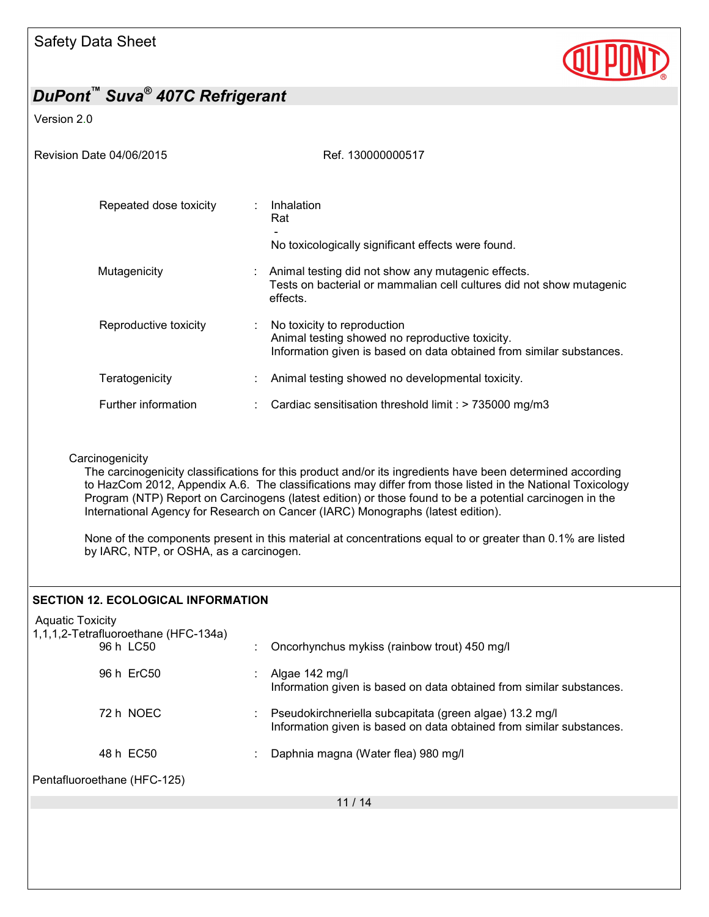

#### Version 2.0

| Revision Date 04/06/2015    | Ref. 130000000517                                                                                                                                      |
|-----------------------------|--------------------------------------------------------------------------------------------------------------------------------------------------------|
| Repeated dose toxicity<br>÷ | Inhalation<br>Rat                                                                                                                                      |
|                             | No toxicologically significant effects were found.                                                                                                     |
| Mutagenicity                | Animal testing did not show any mutagenic effects.<br>Tests on bacterial or mammalian cell cultures did not show mutagenic<br>effects.                 |
| Reproductive toxicity       | No toxicity to reproduction<br>Animal testing showed no reproductive toxicity.<br>Information given is based on data obtained from similar substances. |
| Teratogenicity              | Animal testing showed no developmental toxicity.                                                                                                       |
| Further information         | Cardiac sensitisation threshold limit : $> 735000$ mg/m3                                                                                               |

#### **Carcinogenicity**

The carcinogenicity classifications for this product and/or its ingredients have been determined according to HazCom 2012, Appendix A.6. The classifications may differ from those listed in the National Toxicology Program (NTP) Report on Carcinogens (latest edition) or those found to be a potential carcinogen in the International Agency for Research on Cancer (IARC) Monographs (latest edition).

None of the components present in this material at concentrations equal to or greater than 0.1% are listed by IARC, NTP, or OSHA, as a carcinogen.

#### **SECTION 12. ECOLOGICAL INFORMATION**

| <b>Aquatic Toxicity</b><br>1,1,1,2-Tetrafluoroethane (HFC-134a) |                                                                                                                                 |
|-----------------------------------------------------------------|---------------------------------------------------------------------------------------------------------------------------------|
| 96 h LC50                                                       | Oncorhynchus mykiss (rainbow trout) 450 mg/l                                                                                    |
| 96 h ErC50                                                      | Algae 142 mg/l<br>Information given is based on data obtained from similar substances.                                          |
| 72 h NOEC                                                       | Pseudokirchneriella subcapitata (green algae) 13.2 mg/l<br>Information given is based on data obtained from similar substances. |
| 48 h EC50                                                       | Daphnia magna (Water flea) 980 mg/l                                                                                             |
| Pentafluoroethane (HFC-125)                                     |                                                                                                                                 |
|                                                                 | 11/14                                                                                                                           |
|                                                                 |                                                                                                                                 |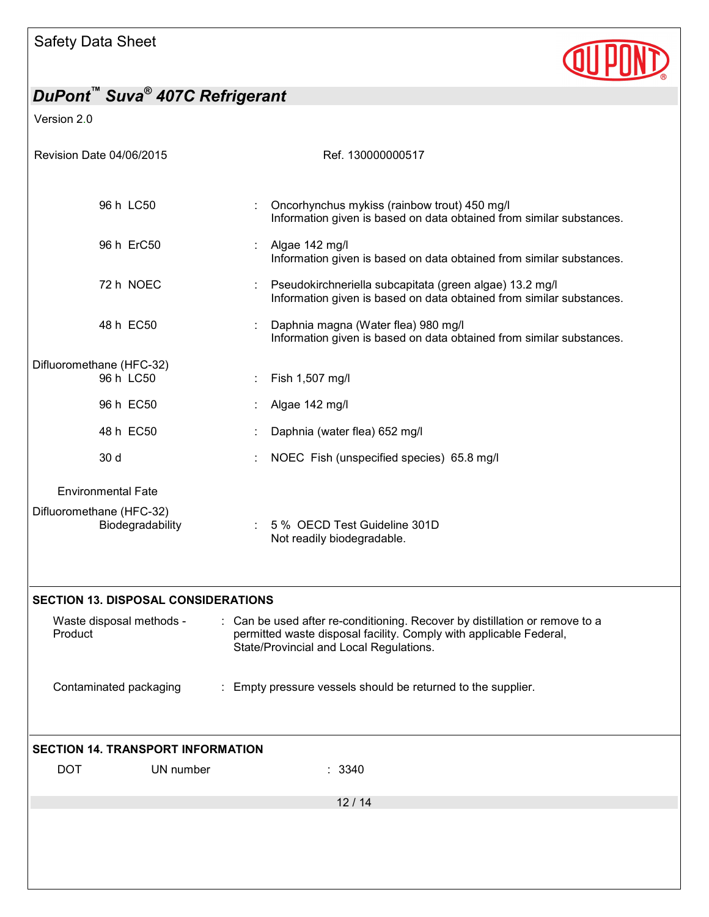

Version 2.0

| Revision Date 04/06/2015                     | Ref. 130000000517                                                                                                                                                                            |
|----------------------------------------------|----------------------------------------------------------------------------------------------------------------------------------------------------------------------------------------------|
|                                              |                                                                                                                                                                                              |
| 96 h LC50                                    | Oncorhynchus mykiss (rainbow trout) 450 mg/l<br>Information given is based on data obtained from similar substances.                                                                         |
| 96 h ErC50                                   | Algae 142 mg/l<br>Information given is based on data obtained from similar substances.                                                                                                       |
| 72 h NOEC                                    | Pseudokirchneriella subcapitata (green algae) 13.2 mg/l<br>Information given is based on data obtained from similar substances.                                                              |
| 48 h EC50                                    | Daphnia magna (Water flea) 980 mg/l<br>Information given is based on data obtained from similar substances.                                                                                  |
| Difluoromethane (HFC-32)                     |                                                                                                                                                                                              |
| 96 h LC50                                    | Fish 1,507 mg/l                                                                                                                                                                              |
| 96 h EC50                                    | Algae 142 mg/l                                                                                                                                                                               |
| 48 h EC50                                    | Daphnia (water flea) 652 mg/l                                                                                                                                                                |
| 30 d                                         | NOEC Fish (unspecified species) 65.8 mg/l                                                                                                                                                    |
| <b>Environmental Fate</b>                    |                                                                                                                                                                                              |
| Difluoromethane (HFC-32)<br>Biodegradability | 5 % OECD Test Guideline 301D<br>Not readily biodegradable.                                                                                                                                   |
| <b>SECTION 13. DISPOSAL CONSIDERATIONS</b>   |                                                                                                                                                                                              |
| Waste disposal methods -<br>Product          | : Can be used after re-conditioning. Recover by distillation or remove to a<br>permitted waste disposal facility. Comply with applicable Federal,<br>State/Provincial and Local Regulations. |
| Contaminated packaging                       | : Empty pressure vessels should be returned to the supplier.                                                                                                                                 |
| <b>SECTION 14. TRANSPORT INFORMATION</b>     |                                                                                                                                                                                              |
| <b>DOT</b><br>UN number                      | : 3340                                                                                                                                                                                       |
|                                              | 12/14                                                                                                                                                                                        |
|                                              |                                                                                                                                                                                              |
|                                              |                                                                                                                                                                                              |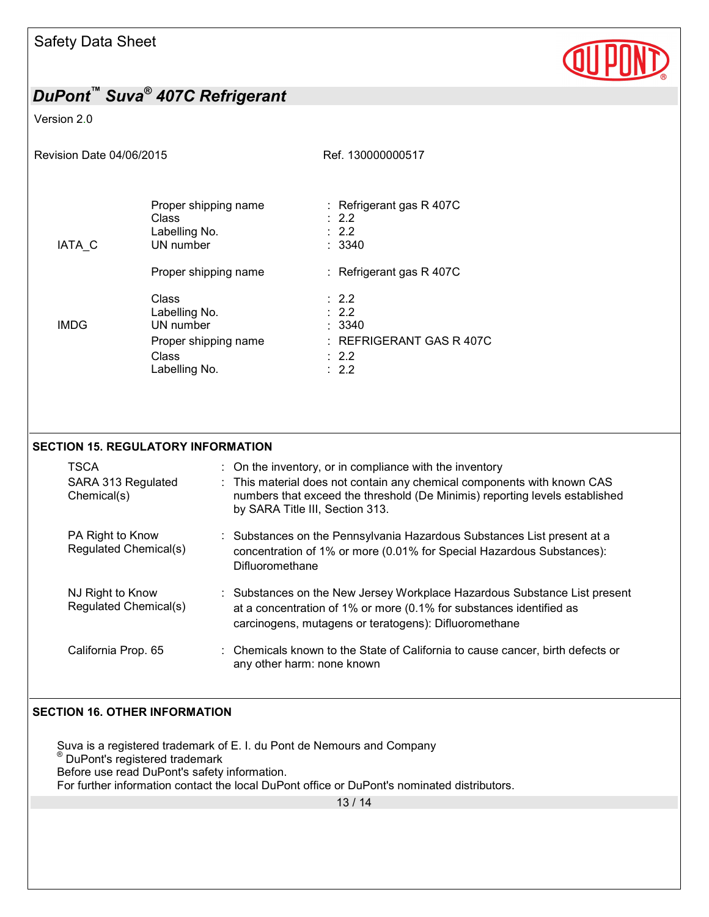

#### Version 2.0

| Revision Date 04/06/2015 |                                                                                       | Ref. 130000000517                                                                                                    |
|--------------------------|---------------------------------------------------------------------------------------|----------------------------------------------------------------------------------------------------------------------|
| IATA C                   | Proper shipping name<br>Class<br>Labelling No.<br>UN number                           | : Refrigerant gas $R$ 407C<br>$\therefore$ 2.2<br>$\therefore$ 2.2<br>: 3340                                         |
|                          | Proper shipping name                                                                  | : Refrigerant gas R 407C                                                                                             |
| <b>IMDG</b>              | Class<br>Labelling No.<br>UN number<br>Proper shipping name<br>Class<br>Labelling No. | $\therefore$ 2.2<br>$\therefore$ 2.2<br>: 3340<br>$:$ REFRIGERANT GAS R 407C<br>$\therefore$ 2.2<br>$\therefore$ 2.2 |
|                          |                                                                                       |                                                                                                                      |

#### **SECTION 15. REGULATORY INFORMATION**

| <b>TSCA</b>                               | : On the inventory, or in compliance with the inventory                                                                                                                                                   |
|-------------------------------------------|-----------------------------------------------------------------------------------------------------------------------------------------------------------------------------------------------------------|
| SARA 313 Regulated<br>Chemical(s)         | : This material does not contain any chemical components with known CAS<br>numbers that exceed the threshold (De Minimis) reporting levels established<br>by SARA Title III, Section 313.                 |
| PA Right to Know<br>Regulated Chemical(s) | Substances on the Pennsylvania Hazardous Substances List present at a<br>concentration of 1% or more (0.01% for Special Hazardous Substances):<br>Difluoromethane                                         |
| NJ Right to Know<br>Regulated Chemical(s) | : Substances on the New Jersey Workplace Hazardous Substance List present<br>at a concentration of 1% or more (0.1% for substances identified as<br>carcinogens, mutagens or teratogens): Difluoromethane |
| California Prop. 65                       | : Chemicals known to the State of California to cause cancer, birth defects or<br>any other harm: none known                                                                                              |

#### **SECTION 16. OTHER INFORMATION**

Suva is a registered trademark of E. I. du Pont de Nemours and Company ® DuPont's registered trademark Before use read DuPont's safety information. For further information contact the local DuPont office or DuPont's nominated distributors.